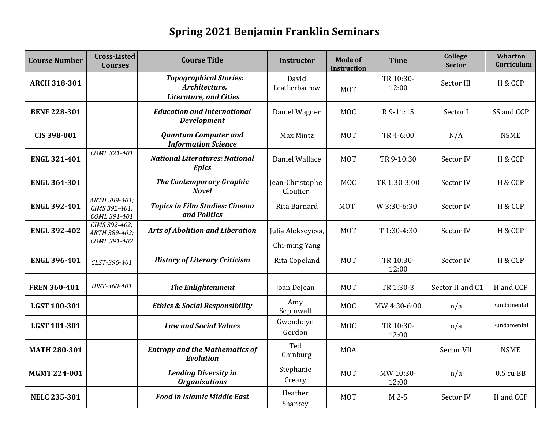## **Spring 2021 Benjamin Franklin Seminars**

| <b>Course Number</b> | <b>Cross-Listed</b><br><b>Courses</b>          | <b>Course Title</b>                                                             | <b>Instructor</b>                  | <b>Mode of</b><br>Instruction | <b>Time</b>        | College<br><b>Sector</b> | <b>Wharton</b><br>Curriculum |
|----------------------|------------------------------------------------|---------------------------------------------------------------------------------|------------------------------------|-------------------------------|--------------------|--------------------------|------------------------------|
| <b>ARCH 318-301</b>  |                                                | <b>Topographical Stories:</b><br>Architecture,<br><b>Literature, and Cities</b> | David<br>Leatherbarrow             | <b>MOT</b>                    | TR 10:30-<br>12:00 | Sector III               | H & CCP                      |
| <b>BENF 228-301</b>  |                                                | <b>Education and International</b><br><b>Development</b>                        | Daniel Wagner                      | <b>MOC</b>                    | R 9-11:15          | Sector I                 | SS and CCP                   |
| CIS 398-001          |                                                | <b>Quantum Computer and</b><br><b>Information Science</b>                       | Max Mintz                          | <b>MOT</b>                    | TR 4-6:00          | N/A                      | <b>NSME</b>                  |
| <b>ENGL 321-401</b>  | COML 321-401                                   | <b>National Literatures: National</b><br><b>Epics</b>                           | Daniel Wallace                     | <b>MOT</b>                    | TR 9-10:30         | Sector IV                | H & CCP                      |
| <b>ENGL 364-301</b>  |                                                | <b>The Contemporary Graphic</b><br><b>Novel</b>                                 | Jean-Christophe<br>Cloutier        | <b>MOC</b>                    | TR 1:30-3:00       | Sector IV                | H & CCP                      |
| <b>ENGL 392-401</b>  | ARTH 389-401;<br>CIMS 392-401;<br>COML 391-401 | <b>Topics in Film Studies: Cinema</b><br>and Politics                           | Rita Barnard                       | <b>MOT</b>                    | W 3:30-6:30        | Sector IV                | H & CCP                      |
| <b>ENGL 392-402</b>  | CIMS 392-402;<br>ARTH 389-402;<br>COML 391-402 | <b>Arts of Abolition and Liberation</b>                                         | Julia Alekseyeva,<br>Chi-ming Yang | <b>MOT</b>                    | T 1:30-4:30        | Sector IV                | H & CCP                      |
| <b>ENGL 396-401</b>  | CLST-396-401                                   | <b>History of Literary Criticism</b>                                            | Rita Copeland                      | <b>MOT</b>                    | TR 10:30-<br>12:00 | Sector IV                | H & CCP                      |
| <b>FREN 360-401</b>  | HIST-360-401                                   | <b>The Enlightenment</b>                                                        | Joan DeJean                        | <b>MOT</b>                    | TR 1:30-3          | Sector II and C1         | H and CCP                    |
| LGST 100-301         |                                                | <b>Ethics &amp; Social Responsibility</b>                                       | Amy<br>Sepinwall                   | <b>MOC</b>                    | MW 4:30-6:00       | n/a                      | Fundamental                  |
| LGST 101-301         |                                                | <b>Law and Social Values</b>                                                    | Gwendolyn<br>Gordon                | <b>MOC</b>                    | TR 10:30-<br>12:00 | n/a                      | Fundamental                  |
| <b>MATH 280-301</b>  |                                                | <b>Entropy and the Mathematics of</b><br><b>Evolution</b>                       | Ted<br>Chinburg                    | <b>MOA</b>                    |                    | Sector VII               | <b>NSME</b>                  |
| MGMT 224-001         |                                                | <b>Leading Diversity in</b><br><b>Organizations</b>                             | Stephanie<br>Creary                | <b>MOT</b>                    | MW 10:30-<br>12:00 | n/a                      | 0.5 cu BB                    |
| <b>NELC 235-301</b>  |                                                | <b>Food in Islamic Middle East</b>                                              | Heather<br>Sharkey                 | <b>MOT</b>                    | M 2-5              | Sector IV                | H and CCP                    |